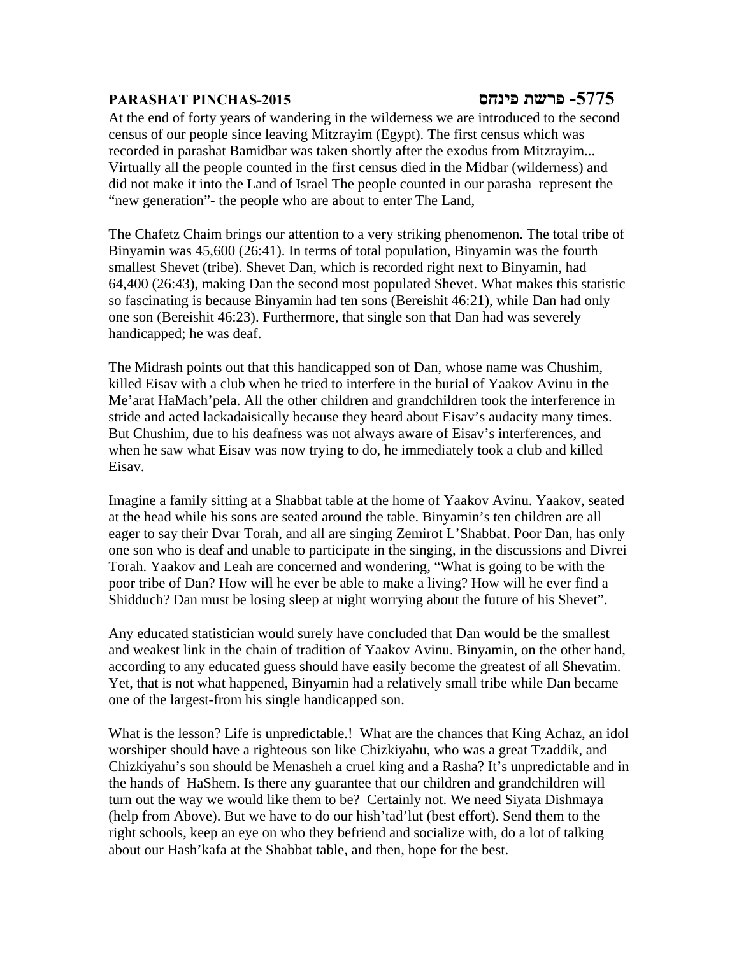## **-5775 פרשת פינחס -2015PINCHAS PARASHAT**

At the end of forty years of wandering in the wilderness we are introduced to the second census of our people since leaving Mitzrayim (Egypt). The first census which was recorded in parashat Bamidbar was taken shortly after the exodus from Mitzrayim... Virtually all the people counted in the first census died in the Midbar (wilderness) and did not make it into the Land of Israel The people counted in our parasha represent the "new generation"- the people who are about to enter The Land,

The Chafetz Chaim brings our attention to a very striking phenomenon. The total tribe of Binyamin was 45,600 (26:41). In terms of total population, Binyamin was the fourth smallest Shevet (tribe). Shevet Dan, which is recorded right next to Binyamin, had 64,400 (26:43), making Dan the second most populated Shevet. What makes this statistic so fascinating is because Binyamin had ten sons (Bereishit 46:21), while Dan had only one son (Bereishit 46:23). Furthermore, that single son that Dan had was severely handicapped; he was deaf.

The Midrash points out that this handicapped son of Dan, whose name was Chushim, killed Eisav with a club when he tried to interfere in the burial of Yaakov Avinu in the Me'arat HaMach'pela. All the other children and grandchildren took the interference in stride and acted lackadaisically because they heard about Eisav's audacity many times. But Chushim, due to his deafness was not always aware of Eisav's interferences, and when he saw what Eisav was now trying to do, he immediately took a club and killed Eisav.

Imagine a family sitting at a Shabbat table at the home of Yaakov Avinu. Yaakov, seated at the head while his sons are seated around the table. Binyamin's ten children are all eager to say their Dvar Torah, and all are singing Zemirot L'Shabbat. Poor Dan, has only one son who is deaf and unable to participate in the singing, in the discussions and Divrei Torah. Yaakov and Leah are concerned and wondering, "What is going to be with the poor tribe of Dan? How will he ever be able to make a living? How will he ever find a Shidduch? Dan must be losing sleep at night worrying about the future of his Shevet".

Any educated statistician would surely have concluded that Dan would be the smallest and weakest link in the chain of tradition of Yaakov Avinu. Binyamin, on the other hand, according to any educated guess should have easily become the greatest of all Shevatim. Yet, that is not what happened, Binyamin had a relatively small tribe while Dan became one of the largest-from his single handicapped son.

What is the lesson? Life is unpredictable.! What are the chances that King Achaz, an idol worshiper should have a righteous son like Chizkiyahu, who was a great Tzaddik, and Chizkiyahu's son should be Menasheh a cruel king and a Rasha? It's unpredictable and in the hands of HaShem. Is there any guarantee that our children and grandchildren will turn out the way we would like them to be? Certainly not. We need Siyata Dishmaya (help from Above). But we have to do our hish'tad'lut (best effort). Send them to the right schools, keep an eye on who they befriend and socialize with, do a lot of talking about our Hash'kafa at the Shabbat table, and then, hope for the best.